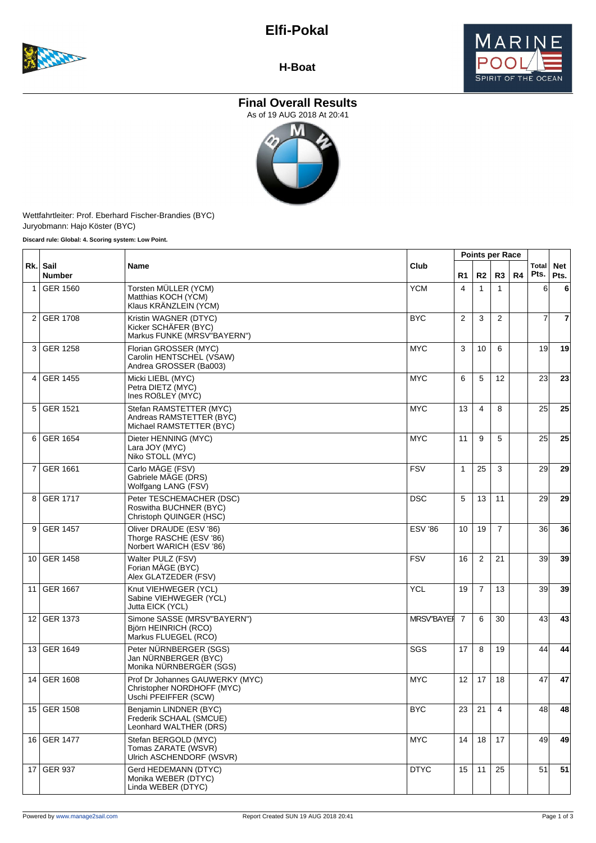# **Elfi-Pokal**





**H-Boat**

# **Final Overall Results**





Wettfahrtleiter: Prof. Eberhard Fischer-Brandies (BYC) Juryobmann: Hajo Köster (BYC)

|                | Rk. Sail<br><b>Number</b> | <b>Name</b>                                                                           |                   |                 |                | <b>Points per Race</b> |    |                 |                    |
|----------------|---------------------------|---------------------------------------------------------------------------------------|-------------------|-----------------|----------------|------------------------|----|-----------------|--------------------|
|                |                           |                                                                                       | Club              | R1              | R <sub>2</sub> | R <sub>3</sub>         | R4 | Total<br>Pts.   | <b>Net</b><br>Pts. |
| 1              | <b>GER 1560</b>           | Torsten MÜLLER (YCM)<br>Matthias KOCH (YCM)<br>Klaus KRÄNZLEIN (YCM)                  | <b>YCM</b>        | 4               | $\mathbf{1}$   | $\mathbf{1}$           |    | 6               | 6                  |
| 2              | <b>GER 1708</b>           | Kristin WAGNER (DTYC)<br>Kicker SCHÄFER (BYC)<br>Markus FUNKE (MRSV"BAYERN")          | <b>BYC</b>        | 2               | 3              | 2                      |    | $\overline{7}$  | 7                  |
| 3              | <b>GER 1258</b>           | Florian GROSSER (MYC)<br>Carolin HENTSCHEL (VSAW)<br>Andrea GROSSER (Ba003)           | <b>MYC</b>        | 3               | 10             | 6                      |    | 19 <sup>1</sup> | 19                 |
| 4              | <b>GER 1455</b>           | Micki LIEBL (MYC)<br>Petra DIETZ (MYC)<br>Ines ROBLEY (MYC)                           | <b>MYC</b>        | 6               | 5              | 12                     |    | 23              | 23                 |
| 5              | <b>GER 1521</b>           | Stefan RAMSTETTER (MYC)<br>Andreas RAMSTETTER (BYC)<br>Michael RAMSTETTER (BYC)       | <b>MYC</b>        | 13              | 4              | 8                      |    | 25              | 25                 |
| 6              | <b>GER 1654</b>           | Dieter HENNING (MYC)<br>Lara JOY (MYC)<br>Niko STOLL (MYC)                            | <b>MYC</b>        | 11              | 9              | 5                      |    | 25              | 25                 |
| $\overline{7}$ | <b>GER 1661</b>           | Carlo MÄGE (FSV)<br>Gabriele MAGE (DRS)<br>Wolfgang LANG (FSV)                        | <b>FSV</b>        | $\mathbf{1}$    | 25             | 3                      |    | 29              | 29                 |
| 8              | <b>GER 1717</b>           | Peter TESCHEMACHER (DSC)<br>Roswitha BUCHNER (BYC)<br>Christoph QUINGER (HSC)         | DSC               | 5               | 13             | 11                     |    | 29              | 29                 |
| 9              | <b>GER 1457</b>           | Oliver DRAUDE (ESV '86)<br>Thorge RASCHE (ESV '86)<br>Norbert WARICH (ESV '86)        | <b>ESV '86</b>    | 10              | 19             | 7                      |    | 36              | 36                 |
|                | 10 GER 1458               | Walter PULZ (FSV)<br>Forian MAGE (BYC)<br>Alex GLATZEDER (FSV)                        | <b>FSV</b>        | 16              | 2              | 21                     |    | 39              | 39                 |
| 11             | <b>GER 1667</b>           | Knut VIEHWEGER (YCL)<br>Sabine VIEHWEGER (YCL)<br>Jutta EICK (YCL)                    | <b>YCL</b>        | 19              | 7              | 13                     |    | 39              | 39                 |
|                | 12 GER 1373               | Simone SASSE (MRSV"BAYERN")<br>Björn HEINRICH (RCO)<br>Markus FLUEGEL (RCO)           | <b>MRSV"BAYER</b> | $\overline{7}$  | 6              | 30                     |    | 43              | 43                 |
|                | 13 GER 1649               | Peter NÜRNBERGER (SGS)<br>Jan NÜRNBERGER (BYC)<br>Monika NÜRNBERGER (SGS)             | SGS               | 17              | 8              | 19                     |    | 44              | 44                 |
|                | 14 GER 1608               | Prof Dr Johannes GAUWERKY (MYC)<br>Christopher NORDHOFF (MYC)<br>Uschi PFEIFFER (SCW) | <b>MYC</b>        | 12 <sup>1</sup> |                | $17$   18              |    | 47              | 47                 |
|                | 15 GER 1508               | Benjamin LINDNER (BYC)<br>Frederik SCHAAL (SMCUE)<br>Leonhard WALTHER (DRS)           | <b>BYC</b>        | 23              | 21             | 4                      |    | 48              | 48                 |
|                | 16 GER 1477               | Stefan BERGOLD (MYC)<br>Tomas ZARATE (WSVR)<br>Ulrich ASCHENDORF (WSVR)               | <b>MYC</b>        | 14              | 18             | 17                     |    | 49              | 49                 |
|                | 17 GER 937                | Gerd HEDEMANN (DTYC)<br>Monika WEBER (DTYC)<br>Linda WEBER (DTYC)                     | <b>DTYC</b>       | 15              | 11             | 25                     |    | 51              | 51                 |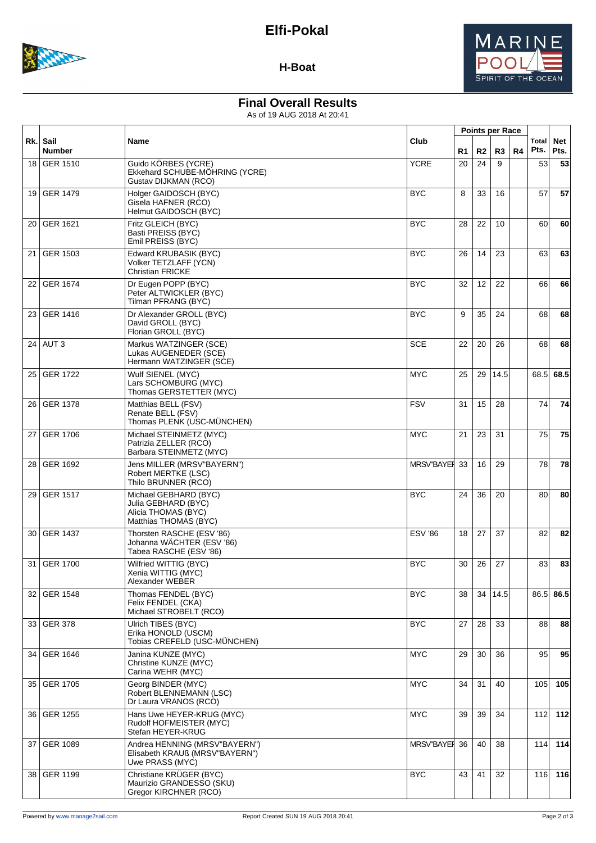

### **H-Boat**

## **Final Overall Results**

As of 19 AUG 2018 At 20:41

|                 |                           |                                                                                              |                |    |                   |      | <b>Points per Race</b> |               |                    |
|-----------------|---------------------------|----------------------------------------------------------------------------------------------|----------------|----|-------------------|------|------------------------|---------------|--------------------|
|                 | Rk. Sail<br><b>Number</b> | Name                                                                                         | Club           | R1 | R2                | R3   | R4                     | Total<br>Pts. | <b>Net</b><br>Pts. |
| 18 <sup>1</sup> | <b>GER 1510</b>           | Guido KÖRBES (YCRE)<br>Ekkehard SCHUBE-MÖHRING (YCRE)<br>Gustav DIJKMAN (RCO)                | <b>YCRE</b>    | 20 | 24                | 9    |                        | 53            | 53                 |
| 19              | <b>GER 1479</b>           | Holger GAIDOSCH (BYC)<br>Gisela HAFNER (RCO)<br>Helmut GAIDOSCH (BYC)                        | <b>BYC</b>     | 8  | 33                | 16   |                        | 57            | 57                 |
| 20              | <b>GER 1621</b>           | Fritz GLEICH (BYC)<br>Basti PREISS (BYC)<br>Emil PREISS (BYC)                                | <b>BYC</b>     | 28 | 22                | 10   |                        | 60l           | 60                 |
| 21              | GER 1503                  | Edward KRUBASIK (BYC)<br>Volker TETZLAFF (YCN)<br><b>Christian FRICKE</b>                    | <b>BYC</b>     | 26 | 14                | 23   |                        | 63            | 63                 |
| 22              | <b>GER 1674</b>           | Dr Eugen POPP (BYC)<br>Peter ALTWICKLER (BYC)<br>Tilman PFRANG (BYC)                         | <b>BYC</b>     | 32 | $12 \overline{ }$ | 22   |                        | 661           | 66                 |
| 23              | GER 1416                  | Dr Alexander GROLL (BYC)<br>David GROLL (BYC)<br>Florian GROLL (BYC)                         | <b>BYC</b>     | 9  | 35                | 24   |                        | 68            | 68                 |
|                 | 24   AUT 3                | Markus WATZINGER (SCE)<br>Lukas AUGENEDER (SCE)<br>Hermann WATZINGER (SCE)                   | <b>SCE</b>     | 22 | 20                | 26   |                        | 68            | 68                 |
| 25              | <b>GER 1722</b>           | Wulf SIENEL (MYC)<br>Lars SCHOMBURG (MYC)<br>Thomas GERSTETTER (MYC)                         | <b>MYC</b>     | 25 | 29                | 14.5 |                        |               | 68.5 68.5          |
| 26              | <b>GER 1378</b>           | Matthias BELL (FSV)<br>Renate BELL (FSV)<br>Thomas PLENK (USC-MUNCHEN)                       | <b>FSV</b>     | 31 | 15                | 28   |                        | 74            | 74                 |
| 27              | <b>GER 1706</b>           | Michael STEINMETZ (MYC)<br>Patrizia ZELLER (RCO)<br>Barbara STEINMETZ (MYC)                  | <b>MYC</b>     | 21 | 23                | 31   |                        | 75            | 75                 |
| 28              | <b>GER 1692</b>           | Jens MILLER (MRSV"BAYERN")<br>Robert MERTKE (LSC)<br>Thilo BRUNNER (RCO)                     | MRSV"BAYEI     | 33 | 16                | 29   |                        | 78I           | 78                 |
| 29              | <b>GER 1517</b>           | Michael GEBHARD (BYC)<br>Julia GEBHARD (BYC)<br>Alicia THOMAS (BYC)<br>Matthias THOMAS (BYC) | <b>BYC</b>     | 24 | 36                | 20   |                        | 80            | 80                 |
| 30              | <b>GER 1437</b>           | Thorsten RASCHE (ESV '86)<br>Johanna WÄCHTER (ESV '86)<br>Tabea RASCHE (ESV '86)             | <b>ESV '86</b> | 18 | 27                | 37   |                        | 82            | 82                 |
| 31              | <b>GER 1700</b>           | Wilfried WITTIG (BYC)<br>Xenia WITTIG (MYC)<br>Alexander WEBER                               | <b>BYC</b>     | 30 | 26                | 27   |                        | 83            | 83                 |
|                 | 32 GER 1548               | Thomas FENDEL (BYC)<br>Felix FENDEL (CKA)<br>Michael STROBELT (RCO)                          | <b>BYC</b>     | 38 | 34                | 14.5 |                        | 86.5          | 86.5               |
|                 | 33 GER 378                | Ulrich TIBES (BYC)<br>Erika HONOLD (USCM)<br>Tobias CREFELD (USC-MÜNCHEN)                    | <b>BYC</b>     | 27 | 28                | 33   |                        | 88            | 88                 |
|                 | 34 GER 1646               | Janina KUNZE (MYC)<br>Christine KUNZE (MYC)<br>Carina WEHR (MYC)                             | <b>MYC</b>     | 29 | 30                | 36   |                        | 95            | 95                 |
|                 | 35 GER 1705               | Georg BINDER (MYC)<br>Robert BLENNEMANN (LSC)<br>Dr Laura VRANOS (RCO)                       | <b>MYC</b>     | 34 | 31                | 40   |                        | 105           | 105                |
| 36              | <b>GER 1255</b>           | Hans Uwe HEYER-KRUG (MYC)<br>Rudolf HOFMEISTER (MYC)<br>Stefan HEYER-KRUG                    | <b>MYC</b>     | 39 | 39                | 34   |                        |               | 112 112            |
|                 | 37 GER 1089               | Andrea HENNING (MRSV"BAYERN")<br>Elisabeth KRAUß (MRSV"BAYERN")<br>Uwe PRASS (MYC)           | MRSV"BAYEI     | 36 | 40                | 38   |                        | 114           | 114                |
| 38 I            | <b>GER 1199</b>           | Christiane KRÜGER (BYC)<br>Maurizio GRANDESSO (SKU)<br>Gregor KIRCHNER (RCO)                 | <b>BYC</b>     | 43 | 41                | 32   |                        |               | 116 116            |